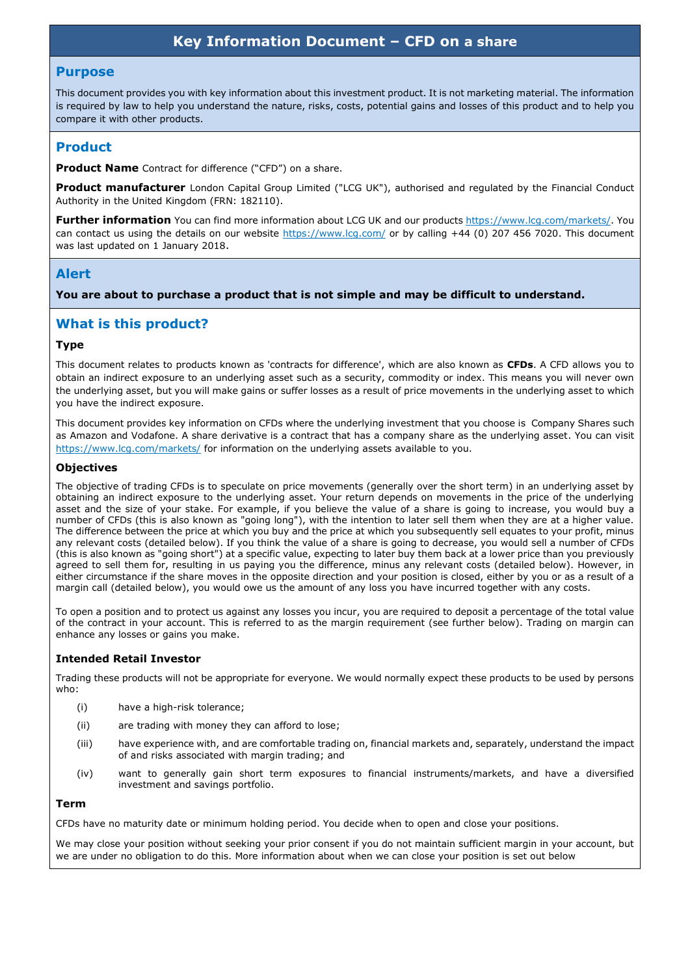# **Key Information Document – CFD on a share**

### **Purpose**

This document provides you with key information about this investment product. It is not marketing material. The information is required by law to help you understand the nature, risks, costs, potential gains and losses of this product and to help you compare it with other products.

## **Product**

**Product Name** Contract for difference ("CFD") on a share.

**Product manufacturer** London Capital Group Limited ("LCG UK"), authorised and regulated by the Financial Conduct Authority in the United Kingdom (FRN: 182110).

**Further information** You can find more information about LCG UK and our products https://www.lcg.com/markets/. You can contact us using the details on our website https://www.lcg.com/ or by calling +44 (0) 207 456 7020. This document was last updated on 1 January 2018.

## **Alert**

**You are about to purchase a product that is not simple and may be difficult to understand.**

# **What is this product?**

#### **Type**

This document relates to products known as 'contracts for difference', which are also known as **CFDs**. A CFD allows you to obtain an indirect exposure to an underlying asset such as a security, commodity or index. This means you will never own the underlying asset, but you will make gains or suffer losses as a result of price movements in the underlying asset to which you have the indirect exposure.

This document provides key information on CFDs where the underlying investment that you choose is Company Shares such as Amazon and Vodafone. A share derivative is a contract that has a company share as the underlying asset. You can visit https://www.lcg.com/markets/ for information on the underlying assets available to you.

#### **Objectives**

The objective of trading CFDs is to speculate on price movements (generally over the short term) in an underlying asset by obtaining an indirect exposure to the underlying asset. Your return depends on movements in the price of the underlying asset and the size of your stake. For example, if you believe the value of a share is going to increase, you would buy a number of CFDs (this is also known as "going long"), with the intention to later sell them when they are at a higher value. The difference between the price at which you buy and the price at which you subsequently sell equates to your profit, minus any relevant costs (detailed below). If you think the value of a share is going to decrease, you would sell a number of CFDs (this is also known as "going short") at a specific value, expecting to later buy them back at a lower price than you previously agreed to sell them for, resulting in us paying you the difference, minus any relevant costs (detailed below). However, in either circumstance if the share moves in the opposite direction and your position is closed, either by you or as a result of a margin call (detailed below), you would owe us the amount of any loss you have incurred together with any costs.

To open a position and to protect us against any losses you incur, you are required to deposit a percentage of the total value of the contract in your account. This is referred to as the margin requirement (see further below). Trading on margin can enhance any losses or gains you make.

### **Intended Retail Investor**

Trading these products will not be appropriate for everyone. We would normally expect these products to be used by persons who:

- (i) have a high-risk tolerance;
- (ii) are trading with money they can afford to lose;
- (iii) have experience with, and are comfortable trading on, financial markets and, separately, understand the impact of and risks associated with margin trading; and
- (iv) want to generally gain short term exposures to financial instruments/markets, and have a diversified investment and savings portfolio.

## **Term**

CFDs have no maturity date or minimum holding period. You decide when to open and close your positions.

We may close your position without seeking your prior consent if you do not maintain sufficient margin in your account, but we are under no obligation to do this. More information about when we can close your position is set out below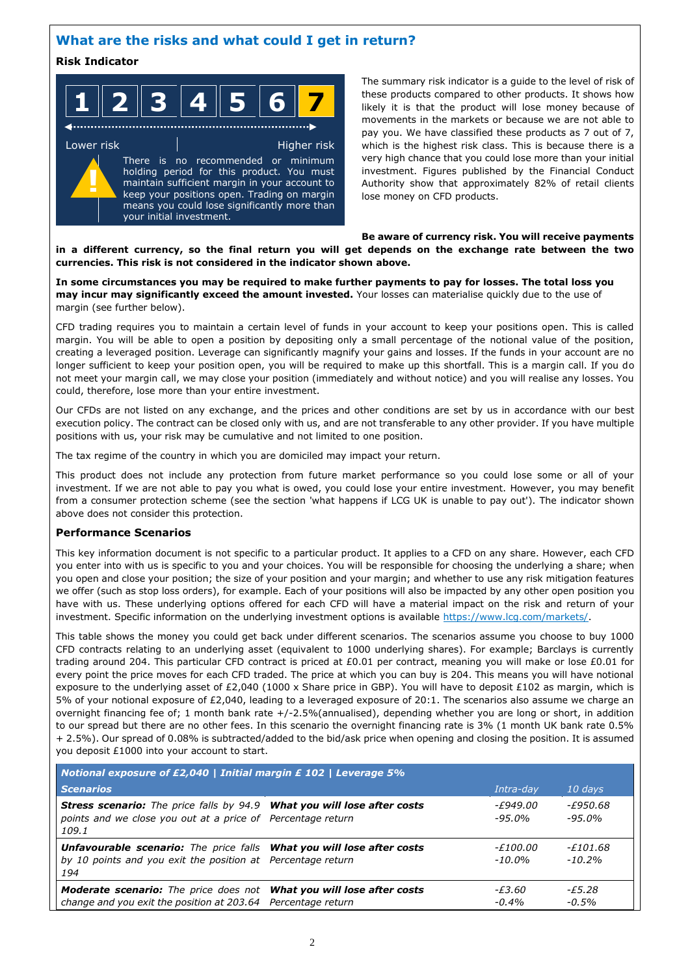# **What are the risks and what could I get in return?**

## **Risk Indicator**

|  |  |  | $\blacksquare$ $\blacktriangle$<br>- 7 | II R | $\mathcal{L}$<br>ι. |  |
|--|--|--|----------------------------------------|------|---------------------|--|
|--|--|--|----------------------------------------|------|---------------------|--|

Lower risk **Higher risk** Higher risk There is no recommended or minimum holding period for this product. You must maintain sufficient margin in your account to keep your positions open. Trading on margin means you could lose significantly more than your initial investment. **!**

The summary risk indicator is a guide to the level of risk of these products compared to other products. It shows how likely it is that the product will lose money because of movements in the markets or because we are not able to pay you. We have classified these products as 7 out of 7, which is the highest risk class. This is because there is a very high chance that you could lose more than your initial investment. Figures published by the Financial Conduct Authority show that approximately 82% of retail clients lose money on CFD products.

#### **Be aware of currency risk. You will receive payments in a different currency, so the final return you will get depends on the exchange rate between the two currencies. This risk is not considered in the indicator shown above.**

**In some circumstances you may be required to make further payments to pay for losses. The total loss you may incur may significantly exceed the amount invested.** Your losses can materialise quickly due to the use of margin (see further below).

CFD trading requires you to maintain a certain level of funds in your account to keep your positions open. This is called margin. You will be able to open a position by depositing only a small percentage of the notional value of the position, creating a leveraged position. Leverage can significantly magnify your gains and losses. If the funds in your account are no longer sufficient to keep your position open, you will be required to make up this shortfall. This is a margin call. If you do not meet your margin call, we may close your position (immediately and without notice) and you will realise any losses. You could, therefore, lose more than your entire investment.

Our CFDs are not listed on any exchange, and the prices and other conditions are set by us in accordance with our best execution policy. The contract can be closed only with us, and are not transferable to any other provider. If you have multiple positions with us, your risk may be cumulative and not limited to one position.

The tax regime of the country in which you are domiciled may impact your return.

This product does not include any protection from future market performance so you could lose some or all of your investment. If we are not able to pay you what is owed, you could lose your entire investment. However, you may benefit from a consumer protection scheme (see the section 'what happens if LCG UK is unable to pay out'). The indicator shown above does not consider this protection.

### **Performance Scenarios**

This key information document is not specific to a particular product. It applies to a CFD on any share. However, each CFD you enter into with us is specific to you and your choices. You will be responsible for choosing the underlying a share; when you open and close your position; the size of your position and your margin; and whether to use any risk mitigation features we offer (such as stop loss orders), for example. Each of your positions will also be impacted by any other open position you have with us. These underlying options offered for each CFD will have a material impact on the risk and return of your investment. Specific information on the underlying investment options is available https://www.lcg.com/markets/.

This table shows the money you could get back under different scenarios. The scenarios assume you choose to buy 1000 CFD contracts relating to an underlying asset (equivalent to 1000 underlying shares). For example; Barclays is currently trading around 204. This particular CFD contract is priced at £0.01 per contract, meaning you will make or lose £0.01 for every point the price moves for each CFD traded. The price at which you can buy is 204. This means you will have notional exposure to the underlying asset of £2,040 (1000 x Share price in GBP). You will have to deposit £102 as margin, which is 5% of your notional exposure of £2,040, leading to a leveraged exposure of 20:1. The scenarios also assume we charge an overnight financing fee of; 1 month bank rate +/-2.5%(annualised), depending whether you are long or short, in addition to our spread but there are no other fees. In this scenario the overnight financing rate is 3% (1 month UK bank rate 0.5% + 2.5%). Our spread of 0.08% is subtracted/added to the bid/ask price when opening and closing the position. It is assumed you deposit £1000 into your account to start.

| Notional exposure of £2,040   Initial margin £ 102   Leverage 5%                                                                                          |                           |                      |
|-----------------------------------------------------------------------------------------------------------------------------------------------------------|---------------------------|----------------------|
| <b>Scenarios</b>                                                                                                                                          | Intra-day                 | $10$ days            |
| <b>Stress scenario:</b> The price falls by 94.9 What you will lose after costs<br>points and we close you out at a price of Percentage return<br>109.1    | -£949.00<br>-95.0%        | -£950.68<br>-95.0%   |
| <b>Unfavourable scenario:</b> The price falls <b>What you will lose after costs</b><br>by 10 points and you exit the position at Percentage return<br>194 | <i>-£100.00</i><br>-10.0% | -£101.68<br>$-10.2%$ |
| <b>Moderate scenario:</b> The price does not <b>What you will lose after costs</b><br>change and you exit the position at 203.64 Percentage return        | -£3.60<br>$-0.4\%$        | -£5.28<br>$-0.5\%$   |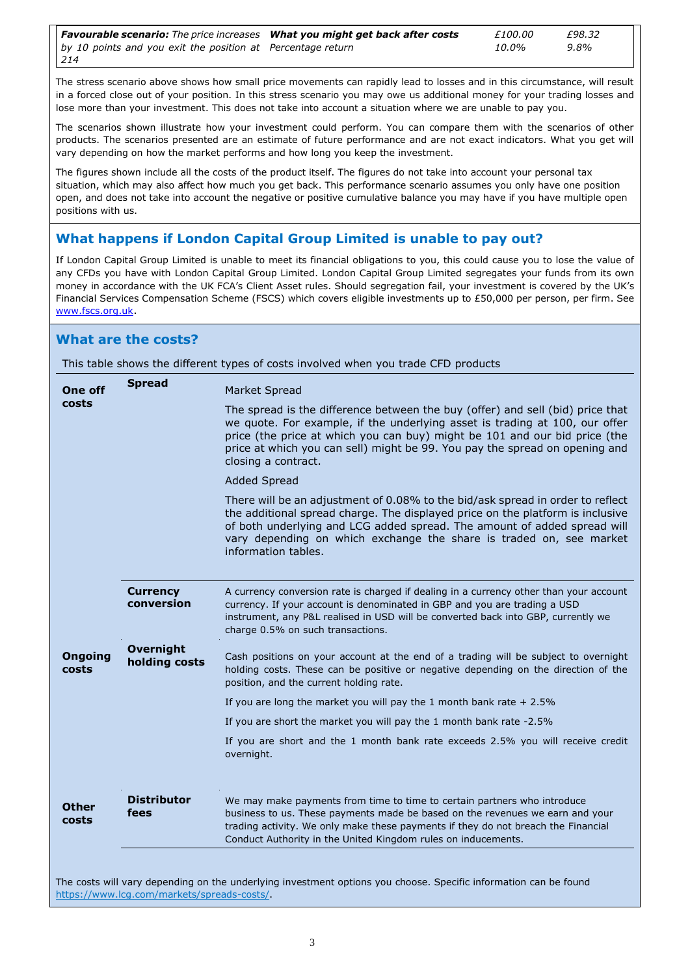| <b>Favourable scenario:</b> The price increases <b>What you might get back after costs</b> | £100.00 | £98.32  |
|--------------------------------------------------------------------------------------------|---------|---------|
| by 10 points and you exit the position at Percentage return                                | 10.0%   | $9.8\%$ |
| 214                                                                                        |         |         |

The stress scenario above shows how small price movements can rapidly lead to losses and in this circumstance, will result in a forced close out of your position. In this stress scenario you may owe us additional money for your trading losses and lose more than your investment. This does not take into account a situation where we are unable to pay you.

The scenarios shown illustrate how your investment could perform. You can compare them with the scenarios of other products. The scenarios presented are an estimate of future performance and are not exact indicators. What you get will vary depending on how the market performs and how long you keep the investment.

The figures shown include all the costs of the product itself. The figures do not take into account your personal tax situation, which may also affect how much you get back. This performance scenario assumes you only have one position open, and does not take into account the negative or positive cumulative balance you may have if you have multiple open positions with us.

# **What happens if London Capital Group Limited is unable to pay out?**

If London Capital Group Limited is unable to meet its financial obligations to you, this could cause you to lose the value of any CFDs you have with London Capital Group Limited. London Capital Group Limited segregates your funds from its own money in accordance with the UK FCA's Client Asset rules. Should segregation fail, your investment is covered by the UK's Financial Services Compensation Scheme (FSCS) which covers eligible investments up to £50,000 per person, per firm. See www.fscs.org.uk.

## **What are the costs?**

This table shows the different types of costs involved when you trade CFD products

| One off                 | <b>Spread</b>                 | Market Spread                                                                                                                                                                                                                                                                                                                                     |
|-------------------------|-------------------------------|---------------------------------------------------------------------------------------------------------------------------------------------------------------------------------------------------------------------------------------------------------------------------------------------------------------------------------------------------|
| costs                   |                               | The spread is the difference between the buy (offer) and sell (bid) price that<br>we quote. For example, if the underlying asset is trading at 100, our offer<br>price (the price at which you can buy) might be 101 and our bid price (the<br>price at which you can sell) might be 99. You pay the spread on opening and<br>closing a contract. |
|                         |                               | <b>Added Spread</b>                                                                                                                                                                                                                                                                                                                               |
|                         |                               | There will be an adjustment of 0.08% to the bid/ask spread in order to reflect<br>the additional spread charge. The displayed price on the platform is inclusive<br>of both underlying and LCG added spread. The amount of added spread will<br>vary depending on which exchange the share is traded on, see market<br>information tables.        |
|                         | <b>Currency</b><br>conversion | A currency conversion rate is charged if dealing in a currency other than your account<br>currency. If your account is denominated in GBP and you are trading a USD<br>instrument, any P&L realised in USD will be converted back into GBP, currently we<br>charge 0.5% on such transactions.                                                     |
|                         | <b>Overnight</b>              |                                                                                                                                                                                                                                                                                                                                                   |
| <b>Ongoing</b><br>costs | holding costs                 | Cash positions on your account at the end of a trading will be subject to overnight<br>holding costs. These can be positive or negative depending on the direction of the<br>position, and the current holding rate.                                                                                                                              |
|                         |                               | If you are long the market you will pay the 1 month bank rate $+2.5\%$                                                                                                                                                                                                                                                                            |
|                         |                               | If you are short the market you will pay the 1 month bank rate -2.5%                                                                                                                                                                                                                                                                              |
|                         |                               | If you are short and the 1 month bank rate exceeds 2.5% you will receive credit<br>overnight.                                                                                                                                                                                                                                                     |
| Other<br>costs          | <b>Distributor</b><br>fees    | We may make payments from time to time to certain partners who introduce<br>business to us. These payments made be based on the revenues we earn and your<br>trading activity. We only make these payments if they do not breach the Financial<br>Conduct Authority in the United Kingdom rules on inducements.                                   |

The costs will vary depending on the underlying investment options you choose. Specific information can be found https://www.lcg.com/markets/spreads-costs/.